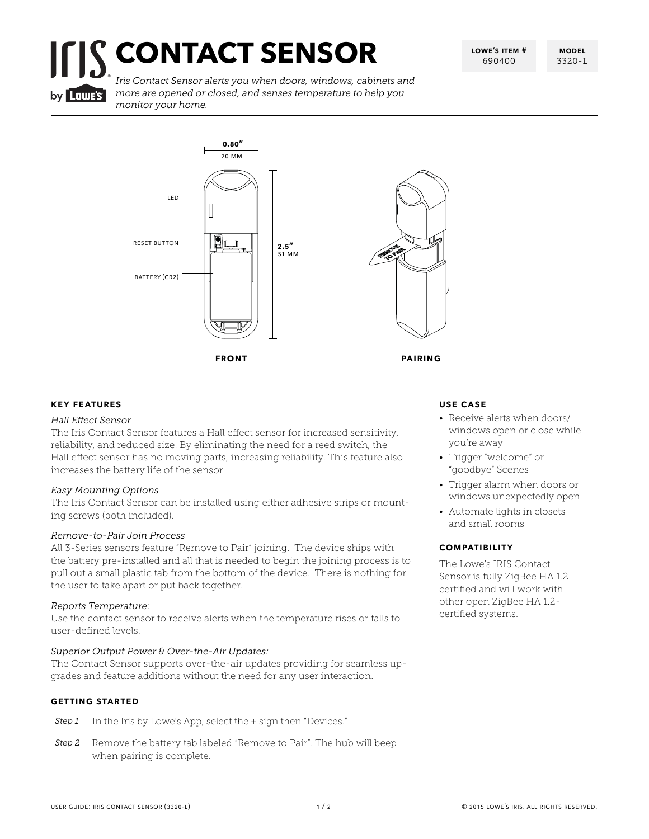# **CONTACT SENSOR**

**lowe's item #** 690400

**model** 3320-L



*Iris Contact Sensor alerts you when doors, windows, cabinets and more are opened or closed, and senses temperature to help you monitor your home.*





### **key features**

### *Hall Effect Sensor*

The Iris Contact Sensor features a Hall effect sensor for increased sensitivity, reliability, and reduced size. By eliminating the need for a reed switch, the Hall effect sensor has no moving parts, increasing reliability. This feature also increases the battery life of the sensor.

### *Easy Mounting Options*

The Iris Contact Sensor can be installed using either adhesive strips or mounting screws (both included).

### *Remove-to-Pair Join Process*

All 3-Series sensors feature "Remove to Pair" joining. The device ships with the battery pre-installed and all that is needed to begin the joining process is to pull out a small plastic tab from the bottom of the device. There is nothing for the user to take apart or put back together.

### *Reports Temperature:*

Use the contact sensor to receive alerts when the temperature rises or falls to user-defined levels.

### *Superior Output Power & Over-the-Air Updates:*

The Contact Sensor supports over-the-air updates providing for seamless upgrades and feature additions without the need for any user interaction.

### **getting started**

- *Step 1* In the Iris by Lowe's App, select the + sign then "Devices."
- *Step 2* Remove the battery tab labeled "Remove to Pair". The hub will beep when pairing is complete.

### **use case**

- Receive alerts when doors/ windows open or close while you're away
- Trigger "welcome" or "goodbye" Scenes
- Trigger alarm when doors or windows unexpectedly open
- Automate lights in closets and small rooms

### **compatibility**

The Lowe's IRIS Contact Sensor is fully ZigBee HA 1.2 certified and will work with other open ZigBee HA 1.2 certified systems.